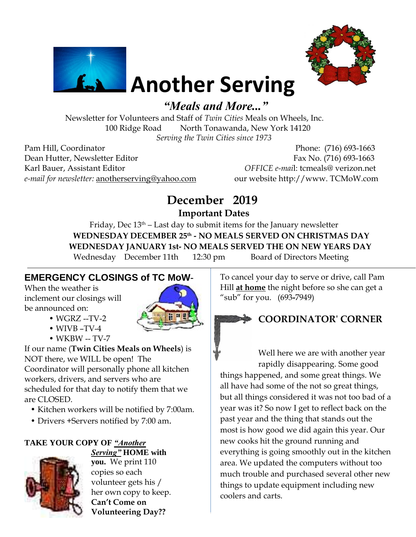



# **Another Serving**

*"Meals and More..."*

Newsletter for Volunteers and Staff of *Twin Cities* Meals on Wheels, Inc. 100 Ridge Road North Tonawanda, New York 14120 *Serving the Twin Cities since 1973* 

Pam Hill, Coordinator Phone: (716) 693-1663 Dean Hutter, Newsletter Editor Fax No. (716) 693-1663 Karl Bauer, Assistant Editor *OFFICE e-mai*l: tcmeals@ verizon.net *e-mail for newsletter:* [anotherserving@yahoo.com](mailto:kebblues@yahoo.com) our website http://www. TCMoW.com

# **December 2019**

**Important Dates**

Friday, Dec 13<sup>th</sup> – Last day to submit items for the January newsletter **WEDNESDAY DECEMBER 25 th - NO MEALS SERVED ON CHRISTMAS DAY WEDNESDAY JANUARY 1st- NO MEALS SERVED THE ON NEW YEARS DAY** Wednesday December 11th 12:30 pm Board of Directors Meeting

#### **EMERGENCY CLOSINGS of TC MoW-**

When the weather is inclement our closings will be announced on:

• WGRZ --TV-2



• WKBW -- TV-7

If our name (**Twin Cities Meals on Wheels**) is NOT there, we WILL be open! The Coordinator will personally phone all kitchen workers, drivers, and servers who are scheduled for that day to notify them that we are CLOSED.

- Kitchen workers will be notified by 7:00am.
- Drivers +Servers notified by 7:00 am.

#### **TAKE YOUR COPY OF** *"Another*



*Serving"* **HOME with you.** We print 110 copies so each volunteer gets his / her own copy to keep. **Can't Come on Volunteering Day??**

To cancel your day to serve or drive, call Pam Hill **at home** the night before so she can get a "sub" for you. (693**-**7949)

#### **COORDINATOR' CORNER**

Well here we are with another year rapidly disappearing. Some good things happened, and some great things. We all have had some of the not so great things, but all things considered it was not too bad of a year was it? So now I get to reflect back on the past year and the thing that stands out the most is how good we did again this year. Our new cooks hit the ground running and everything is going smoothly out in the kitchen area. We updated the computers without too much trouble and purchased several other new things to update equipment including new coolers and carts.

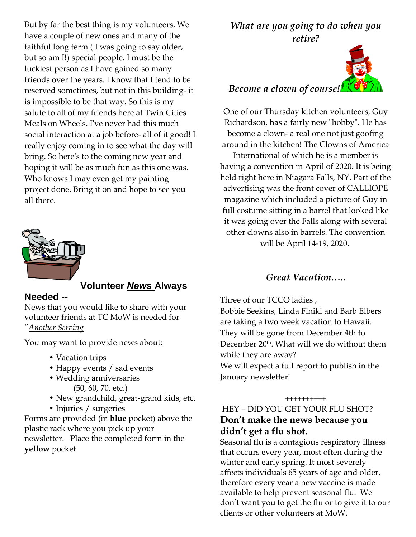But by far the best thing is my volunteers. We have a couple of new ones and many of the faithful long term ( I was going to say older, but so am I!) special people. I must be the luckiest person as I have gained so many friends over the years. I know that I tend to be reserved sometimes, but not in this building- it is impossible to be that way. So this is my salute to all of my friends here at Twin Cities Meals on Wheels. I've never had this much social interaction at a job before- all of it good! I really enjoy coming in to see what the day will bring. So here's to the coming new year and hoping it will be as much fun as this one was. Who knows I may even get my painting project done. Bring it on and hope to see you all there.



#### **Volunteer** *News* **Always**

#### **Needed --**

News that you would like to share with your volunteer friends at TC MoW is needed for "*Another Serving*

You may want to provide news about:

- Vacation trips
- Happy events / sad events
- Wedding anniversaries (50, 60, 70, etc.)
- New grandchild, great-grand kids, etc.
- Injuries / surgeries

Forms are provided (in **blue** pocket) above the plastic rack where you pick up your newsletter. Place the completed form in the **yellow** pocket.

*What are you going to do when you retire?*

### *Become a clown of course!*

One of our Thursday kitchen volunteers, Guy Richardson, has a fairly new "hobby". He has become a clown- a real one not just goofing around in the kitchen! The Clowns of America

International of which he is a member is having a convention in April of 2020. It is being held right here in Niagara Falls, NY. Part of the advertising was the front cover of CALLIOPE magazine which included a picture of Guy in full costume sitting in a barrel that looked like it was going over the Falls along with several other clowns also in barrels. The convention will be April 14-19, 2020.

#### *Great Vacation…..*

Three of our TCCO ladies ,

Bobbie Seekins, Linda Finiki and Barb Elbers are taking a two week vacation to Hawaii. They will be gone from December 4th to December 20th. What will we do without them while they are away?

We will expect a full report to publish in the January newsletter!

#### ++++++++++

#### HEY – DID YOU GET YOUR FLU SHOT? **Don't make the news because you didn't get a flu shot.**

Seasonal flu is a contagious respiratory illness that occurs every year, most often during the winter and early spring. It most severely affects individuals 65 years of age and older, therefore every year a new vaccine is made available to help prevent seasonal flu. We don't want you to get the flu or to give it to our clients or other volunteers at MoW.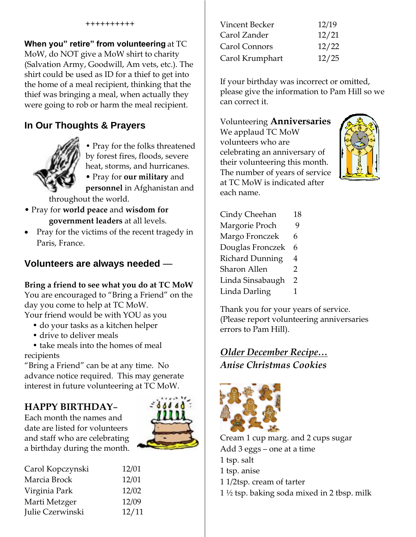#### ++++++++++

#### **When you" retire" from volunteering** at TC MoW, do NOT give a MoW shirt to charity (Salvation Army, Goodwill, Am vets, etc.). The shirt could be used as ID for a thief to get into the home of a meal recipient, thinking that the thief was bringing a meal, when actually they were going to rob or harm the meal recipient.

#### **In Our Thoughts & Prayers**



• Pray for the folks threatened by forest fires, floods, severe heat, storms, and hurricanes.

• Pray for **our military** and

**personnel** in Afghanistan and throughout the world.

• Pray for **world peace** and **wisdom for** 

**government leaders** at all levels.

• Pray for the victims of the recent tragedy in Paris, France.

#### **Volunteers are always needed** —

#### **Bring a friend to see what you do at TC MoW**

You are encouraged to "Bring a Friend" on the day you come to help at TC MoW.

Your friend would be with YOU as you

- do your tasks as a kitchen helper
- drive to deliver meals

• take meals into the homes of meal recipients

"Bring a Friend" can be at any time. No advance notice required. This may generate interest in future volunteering at TC MoW.

#### **HAPPY BIRTHDAY**–

Each month the names and date are listed for volunteers and staff who are celebrating a birthday during the month.



| Carol Kopczynski | 12/01 |
|------------------|-------|
| Marcia Brock     | 12/01 |
| Virginia Park    | 12/02 |
| Marti Metzger    | 12/09 |
| Julie Czerwinski | 12/11 |

| Vincent Becker  | 12/19 |
|-----------------|-------|
| Carol Zander    | 12/21 |
| Carol Connors   | 12/22 |
| Carol Krumphart | 12/25 |

If your birthday was incorrect or omitted, please give the information to Pam Hill so we can correct it.

#### Volunteering **Anniversaries**

We applaud TC MoW volunteers who are celebrating an anniversary of their volunteering this month. The number of years of service at TC MoW is indicated after each name.



| Cindy Cheehan          | 18 |
|------------------------|----|
| Margorie Proch         | 9  |
| Margo Fronczek         | 6  |
| Douglas Fronczek       | 6  |
| <b>Richard Dunning</b> | 4  |
| Sharon Allen           | 2  |
| Linda Sinsabaugh       | 2  |
| Linda Darling          | 1  |

Thank you for your years of service. (Please report volunteering anniversaries errors to Pam Hill).

#### *Older December Recipe… Anise Christmas Cookies*



| Cream 1 cup marg. and 2 cups sugar                    |
|-------------------------------------------------------|
| Add 3 eggs – one at a time                            |
| 1 tsp. salt                                           |
| 1 tsp. anise                                          |
| 1 1/2tsp. cream of tarter                             |
| $1\frac{1}{2}$ tsp. baking soda mixed in 2 tbsp. milk |
|                                                       |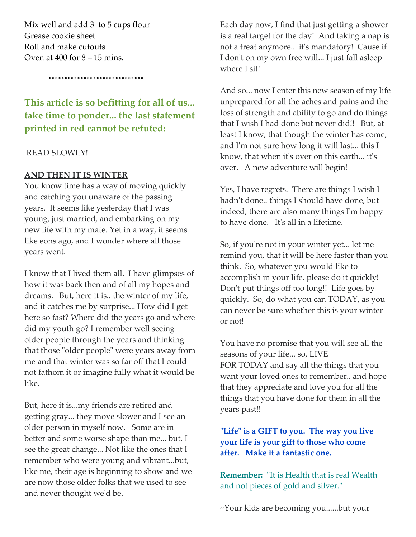Mix well and add 3 to 5 cups flour Grease cookie sheet Roll and make cutouts Oven at  $400$  for  $8 - 15$  mins.

\*\*\*\*\*\*\*\*\*\*\*\*\*\*\*\*\*\*\*\*\*\*\*\*\*\*\*\*\*\*

#### **This article is so befitting for all of us... take time to ponder... the last statement printed in red cannot be refuted:**

#### READ SLOWLY!

#### **AND THEN IT IS WINTER**

You know time has a way of moving quickly and catching you unaware of the passing years. It seems like yesterday that I was young, just married, and embarking on my new life with my mate. Yet in a way, it seems like eons ago, and I wonder where all those years went.

I know that I lived them all. I have glimpses of how it was back then and of all my hopes and dreams. But, here it is.. the winter of my life, and it catches me by surprise... How did I get here so fast? Where did the years go and where did my youth go? I remember well seeing older people through the years and thinking that those "older people" were years away from me and that winter was so far off that I could not fathom it or imagine fully what it would be like.

But, here it is...my friends are retired and getting gray... they move slower and I see an older person in myself now. Some are in better and some worse shape than me... but, I see the great change... Not like the ones that I remember who were young and vibrant...but, like me, their age is beginning to show and we are now those older folks that we used to see and never thought we'd be.

Each day now, I find that just getting a shower is a real target for the day! And taking a nap is not a treat anymore... it's mandatory! Cause if I don't on my own free will... I just fall asleep where I sit!

And so... now I enter this new season of my life unprepared for all the aches and pains and the loss of strength and ability to go and do things that I wish I had done but never did!! But, at least I know, that though the winter has come, and I'm not sure how long it will last... this I know, that when it's over on this earth... it's over. A new adventure will begin!

Yes, I have regrets. There are things I wish I hadn't done.. things I should have done, but indeed, there are also many things I'm happy to have done. It's all in a lifetime.

So, if you're not in your winter yet... let me remind you, that it will be here faster than you think. So, whatever you would like to accomplish in your life, please do it quickly! Don't put things off too long!! Life goes by quickly. So, do what you can TODAY, as you can never be sure whether this is your winter or not!

You have no promise that you will see all the seasons of your life... so, LIVE FOR TODAY and say all the things that you want your loved ones to remember.. and hope that they appreciate and love you for all the things that you have done for them in all the years past!!

**"Life" is a GIFT to you. The way you live your life is your gift to those who come after. Make it a fantastic one.**

**Remember:** "It is Health that is real Wealth and not pieces of gold and silver."

~Your kids are becoming you......but your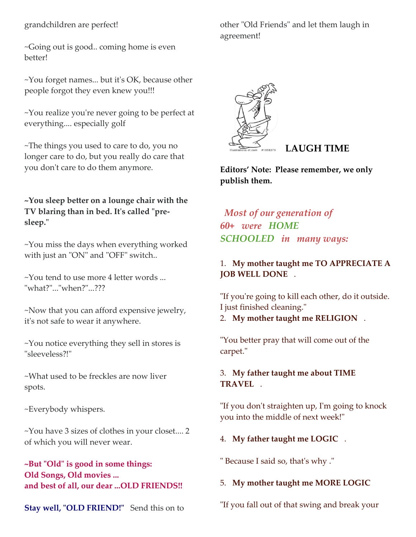#### grandchildren are perfect!

~Going out is good.. coming home is even better!

~You forget names... but it's OK, because other people forgot they even knew you!!!

~You realize you're never going to be perfect at everything.... especially golf

~The things you used to care to do, you no longer care to do, but you really do care that you don't care to do them anymore.

#### **~You sleep better on a lounge chair with the TV blaring than in bed. It's called "presleep."**

~You miss the days when everything worked with just an "ON" and "OFF" switch..

~You tend to use more 4 letter words ... "what?"..."when?"...???

~Now that you can afford expensive jewelry, it's not safe to wear it anywhere.

~You notice everything they sell in stores is "sleeveless?!"

~What used to be freckles are now liver spots.

~Everybody whispers.

~You have 3 sizes of clothes in your closet.... 2 of which you will never wear.

#### **~But "Old" is good in some things: Old Songs, Old movies ... and best of all, our dear ...OLD FRIENDS!!**

**Stay well, "OLD FRIEND!"** Send this on to

other "Old Friends" and let them laugh in agreement!



#### **LAUGH TIME**

**Editors' Note: Please remember, we only publish them.**

*Most of our generation of 60+ were**HOME SCHOOLED**in many ways:*

#### 1. **My mother taught me TO APPRECIATE A JOB WELL DONE** .

"If you're going to kill each other, do it outside. I just finished cleaning." 2. **My mother taught me RELIGION** .

"You better pray that will come out of the carpet."

#### 3. **My father taught me about TIME TRAVEL** .

"If you don't straighten up, I'm going to knock you into the middle of next week!"

#### 4. **My father taught me LOGIC** .

" Because I said so, that's why ."

#### 5. **My mother taught me MORE LOGIC**

"If you fall out of that swing and break your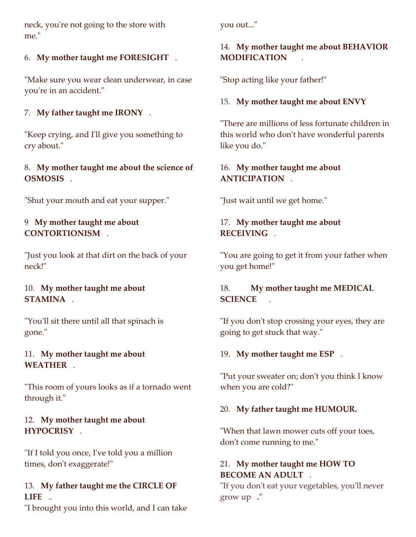neck, you're not going to the store with me."

#### 6. **My mother taught me FORESIGHT** .

"Make sure you wear clean underwear, in case you're in an accident."

#### 7. **My father taught me IRONY** .

"Keep crying, and I'll give you something to cry about."

8. **My mother taught me about the science of OSMOSIS** .

"Shut your mouth and eat your supper."

#### 9 **My mother taught me about CONTORTIONISM** .

"Just you look at that dirt on the back of your neck!"

#### 10. **My mother taught me about STAMINA** .

"You'll sit there until all that spinach is gone."

#### 11. **My mother taught me about WEATHER** .

"This room of yours looks as if a tornado went through it."

#### 12. **My mother taught me about HYPOCRISY** .

"If I told you once, I've told you a million times, don't exaggerate!"

#### 13. **My father taught me the CIRCLE OF LIFE** ..

"I brought you into this world, and I can take

you out..."

#### 14. **My mother taught me about BEHAVIOR MODIFICATION** .

"Stop acting like your father!"

#### 15. **My mother taught me about ENVY**

"There are millions of less fortunate children in this world who don't have wonderful parents like you do."

#### 16. **My mother taught me about ANTICIPATION** .

"Just wait until we get home."

#### 17. **My mother taught me about RECEIVING** .

"You are going to get it from your father when you get home!"

#### 18. **My mother taught me MEDICAL SCIENCE** .

"If you don't stop crossing your eyes, they are going to get stuck that way."

#### 19. **My mother taught me ESP** .

"Put your sweater on; don't you think I know when you are cold?"

#### 20. **My father taught me HUMOUR.**

"When that lawn mower cuts off your toes, don't come running to me."

#### 21. **My mother taught me HOW TO BECOME AN ADULT** .

"If you don't eat your vegetables, you'll never grow up **."**